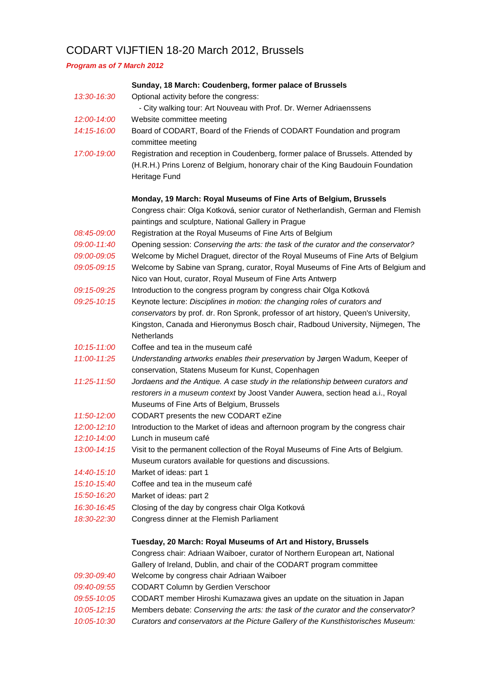## CODART VIJFTIEN 18-20 March 2012, Brussels

*Program as of 7 March 2012*

|                 | Sunday, 18 March: Coudenberg, former palace of Brussels                             |
|-----------------|-------------------------------------------------------------------------------------|
| 13:30-16:30     | Optional activity before the congress:                                              |
|                 | - City walking tour: Art Nouveau with Prof. Dr. Werner Adriaenssens                 |
| 12:00-14:00     | Website committee meeting                                                           |
| 14:15-16:00     | Board of CODART, Board of the Friends of CODART Foundation and program              |
|                 | committee meeting                                                                   |
| 17:00-19:00     | Registration and reception in Coudenberg, former palace of Brussels. Attended by    |
|                 | (H.R.H.) Prins Lorenz of Belgium, honorary chair of the King Baudouin Foundation    |
|                 | Heritage Fund                                                                       |
|                 |                                                                                     |
|                 | Monday, 19 March: Royal Museums of Fine Arts of Belgium, Brussels                   |
|                 | Congress chair: Olga Kotková, senior curator of Netherlandish, German and Flemish   |
|                 | paintings and sculpture, National Gallery in Prague                                 |
| 08:45-09:00     | Registration at the Royal Museums of Fine Arts of Belgium                           |
| 09:00-11:40     | Opening session: Conserving the arts: the task of the curator and the conservator?  |
| 09:00-09:05     | Welcome by Michel Draguet, director of the Royal Museums of Fine Arts of Belgium    |
| 09:05-09:15     | Welcome by Sabine van Sprang, curator, Royal Museums of Fine Arts of Belgium and    |
|                 | Nico van Hout, curator, Royal Museum of Fine Arts Antwerp                           |
| 09:15-09:25     | Introduction to the congress program by congress chair Olga Kotková                 |
| 09:25-10:15     | Keynote lecture: Disciplines in motion: the changing roles of curators and          |
|                 | conservators by prof. dr. Ron Spronk, professor of art history, Queen's University, |
|                 | Kingston, Canada and Hieronymus Bosch chair, Radboud University, Nijmegen, The      |
|                 | <b>Netherlands</b>                                                                  |
| 10:15-11:00     | Coffee and tea in the museum café                                                   |
| 11:00-11:25     | Understanding artworks enables their preservation by Jørgen Wadum, Keeper of        |
|                 | conservation, Statens Museum for Kunst, Copenhagen                                  |
| 11:25-11:50     | Jordaens and the Antique. A case study in the relationship between curators and     |
|                 | restorers in a museum context by Joost Vander Auwera, section head a.i., Royal      |
|                 | Museums of Fine Arts of Belgium, Brussels                                           |
| 11:50-12:00     | CODART presents the new CODART eZine                                                |
| $12:00 - 12:10$ | Introduction to the Market of ideas and afternoon program by the congress chair     |
| 12:10-14:00     | Lunch in museum café                                                                |
| 13:00-14:15     | Visit to the permanent collection of the Royal Museums of Fine Arts of Belgium.     |
|                 | Museum curators available for questions and discussions.                            |
| 14:40-15:10     | Market of ideas: part 1<br>Coffee and tea in the museum café                        |
| 15:10-15:40     |                                                                                     |
| 15:50-16:20     | Market of ideas: part 2                                                             |
| 16:30-16:45     | Closing of the day by congress chair Olga Kotková                                   |
| 18:30-22:30     | Congress dinner at the Flemish Parliament                                           |
|                 | Tuesday, 20 March: Royal Museums of Art and History, Brussels                       |
|                 | Congress chair: Adriaan Waiboer, curator of Northern European art, National         |
|                 | Gallery of Ireland, Dublin, and chair of the CODART program committee               |
| 09:30-09:40     | Welcome by congress chair Adriaan Waiboer                                           |
| 09:40-09:55     | <b>CODART Column by Gerdien Verschoor</b>                                           |
| 09:55-10:05     | CODART member Hiroshi Kumazawa gives an update on the situation in Japan            |
| 10:05-12:15     | Members debate: Conserving the arts: the task of the curator and the conservator?   |
| 10:05-10:30     | Curators and conservators at the Picture Gallery of the Kunsthistorisches Museum:   |